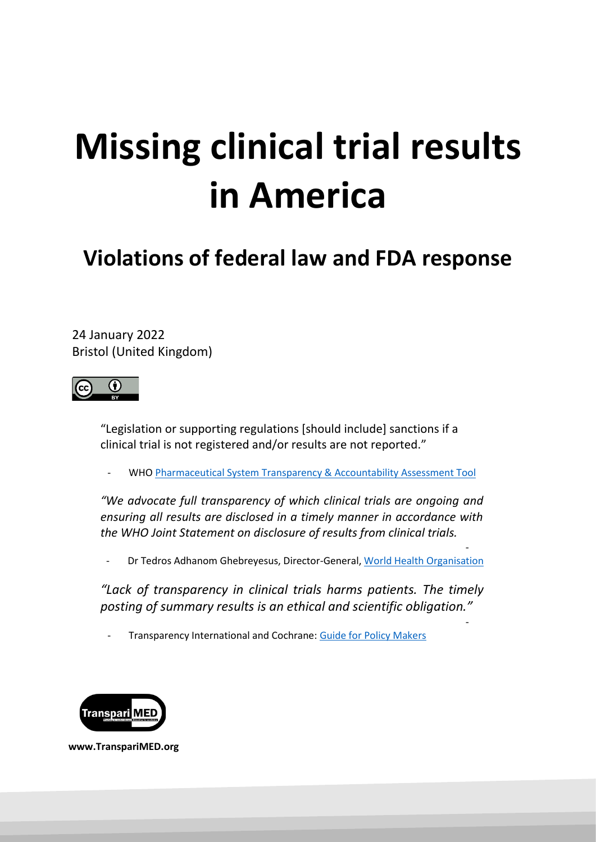# **Missing clinical trial results in America**

**Violations of federal law and FDA response**

24 January 2022 Bristol (United Kingdom)



"Legislation or supporting regulations [should include] sanctions if a clinical trial is not registered and/or results are not reported."

WHO [Pharmaceutical System Transparency & Accountability Assessment Tool](https://apps.who.int/iris/bitstream/handle/10665/275370/WHO-EMP-2018.04-eng.pdf?ua=1)

*"We advocate full transparency of which clinical trials are ongoing and ensuring all results are disclosed in a timely manner in accordance with the WHO Joint Statement on disclosure of results from clinical trials.*

Dr Tedros Adhanom Ghebreyesus, Director-General[, World Health Organisation](https://www.transparimed.org/single-post/2019/03/25/New-report-25-leading-US-universities-violate-key-medical-transparency-law)

-

-

*"Lack of transparency in clinical trials harms patients. The timely posting of summary results is an ethical and scientific obligation."* 

- Transparency International and Cochrane: [Guide for Policy Makers](https://docs.wixstatic.com/ugd/01f35d_def0082121a648529220e1d56df4b50a.pdf)



 **[www.TranspariMED.org](http://www.transparimed.org/)**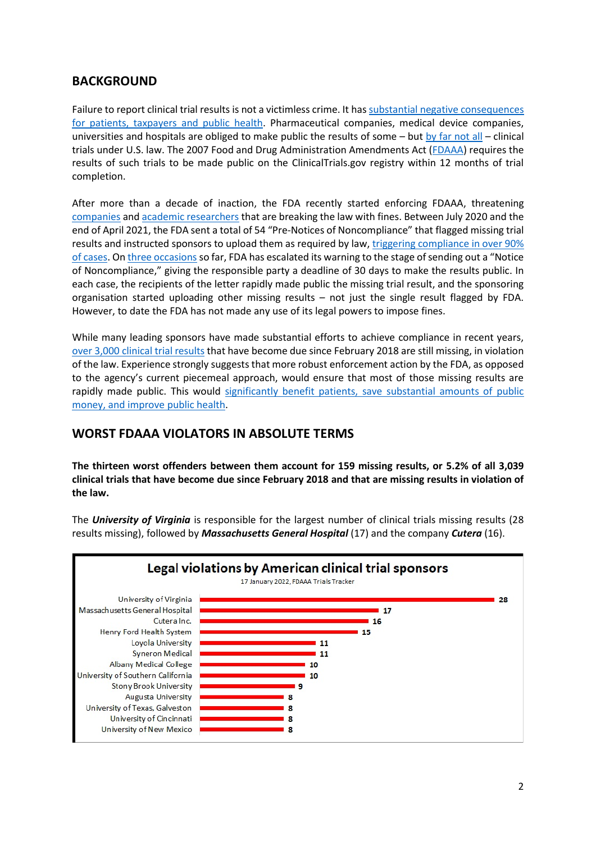## **BACKGROUND**

Failure to report clinical trial results is not a victimless crime. It has substantial negative consequences [for patients, taxpayers](https://docs.wixstatic.com/ugd/01f35d_def0082121a648529220e1d56df4b50a.pdf) and public health. Pharmaceutical companies, medical device companies, universities and hospitals are obliged to make public the results of some – but [by far not all](https://www.transparimed.org/single-post/fda-fdaaa) – clinical trials under U.S. law. The 2007 Food and Drug Administration Amendments Act [\(FDAAA\)](https://clinicaltrials.gov/ct2/manage-recs/fdaaa) requires the results of such trials to be made public on the ClinicalTrials.gov registry within 12 months of trial completion.

After more than a decade of inaction, the FDA recently started enforcing FDAAA, threatening [companies](https://www.transparimed.org/single-post/fdaaa-accuitis) and [academic researchers](https://www.transparimed.org/single-post/fdaaa-university-hospitals) that are breaking the law with fines. Between July 2020 and the end of April 2021, the FDA sent a total of 54 "Pre-Notices of Noncompliance" that flagged missing trial results and instructed sponsors to upload them as required by law, [triggering compliance in over 90%](https://jamanetwork.com/journals/jama/fullarticle/2786399)  [of cases.](https://jamanetwork.com/journals/jama/fullarticle/2786399) O[n three occasions](https://www.fda.gov/science-research/fdas-role-clinicaltrialsgov-information/clinicaltrialsgov-notices-noncompliance-and-civil-money-penalty-actions) so far, FDA has escalated its warning to the stage of sending out a "Notice of Noncompliance," giving the responsible party a deadline of 30 days to make the results public. In each case, the recipients of the letter rapidly made public the missing trial result, and the sponsoring organisation started uploading other missing results – not just the single result flagged by FDA. However, to date the FDA has not made any use of its legal powers to impose fines.

While many leading sponsors have made substantial efforts to achieve compliance in recent years, over [3,000 clinical trial results](https://fdaaa.trialstracker.net/rankings/) that have become due since February 2018 are still missing, in violation of the law. Experience strongly suggests that more robust enforcement action by the FDA, as opposed to the agency's current piecemeal approach, would ensure that most of those missing results are rapidly made public. This would significantly benefit patients, save substantial amounts of public [money, and improve public health.](https://www.transparimed.org/single-post/2019/04/24/why-is-uploading-clinical-results-onto-trial-registries-so-important)

## **WORST FDAAA VIOLATORS IN ABSOLUTE TERMS**

**The thirteen worst offenders between them account for 159 missing results, or 5.2% of all 3,039 clinical trials that have become due since February 2018 and that are missing results in violation of the law.** 

The *University of Virginia* is responsible for the largest number of clinical trials missing results (28 results missing), followed by *Massachusetts General Hospital* (17) and the company *Cutera* (16).

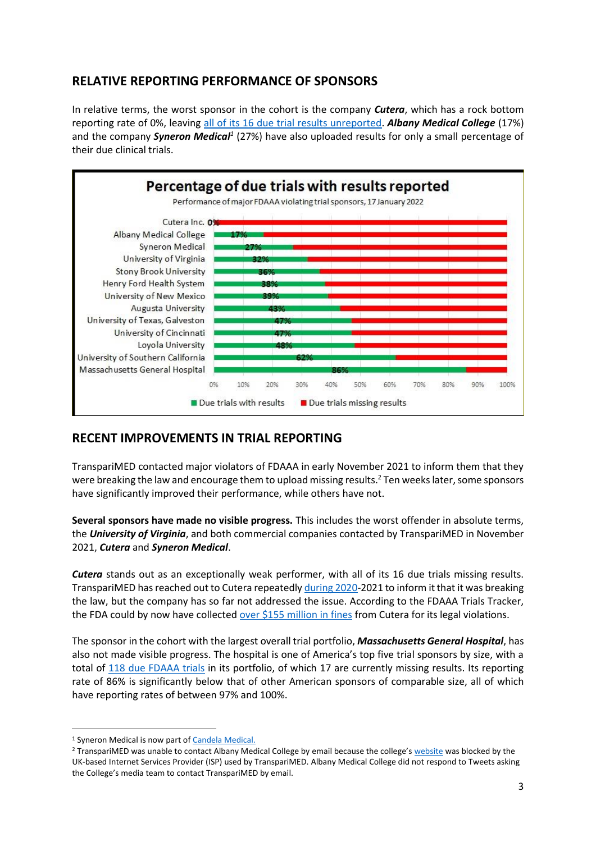# **RELATIVE REPORTING PERFORMANCE OF SPONSORS**

In relative terms, the worst sponsor in the cohort is the company *Cutera*, which has a rock bottom reporting rate of 0%, leaving [all of its 16 due trial results unreported.](https://fdaaa.trialstracker.net/sponsor/cutera-inc/) *Albany Medical College* (17%) and the company *Syneron Medical<sup>1</sup>* (27%) have also uploaded results for only a small percentage of their due clinical trials.



# **RECENT IMPROVEMENTS IN TRIAL REPORTING**

TranspariMED contacted major violators of FDAAA in early November 2021 to inform them that they were breaking the law and encourage them to upload missing results.<sup>2</sup> Ten weeks later, some sponsors have significantly improved their performance, while others have not.

**Several sponsors have made no visible progress.** This includes the worst offender in absolute terms, the *University of Virginia*, and both commercial companies contacted by TranspariMED in November 2021, *Cutera* and *Syneron Medical*.

*Cutera* stands out as an exceptionally weak performer, with all of its 16 due trials missing results. TranspariMED has reached out to Cutera repeatedly [during](https://www.transparimed.org/single-post/2020/09/28/novartis-cutera-clinical-trials-fdaaa) 2020-2021 to inform it that it was breaking the law, but the company has so far not addressed the issue. According to the FDAAA Trials Tracker, the FDA could by now have collected [over \\$155 million in fines](https://fdaaa.trialstracker.net/sponsor/cutera-inc/) from Cutera for its legal violations.

The sponsor in the cohort with the largest overall trial portfolio, *Massachusetts General Hospital*, has also not made visible progress. The hospital is one of America's top five trial sponsors by size, with a total of [118 due FDAAA trials](https://fdaaa.trialstracker.net/sponsor/massachusetts-general-hospital/) in its portfolio, of which 17 are currently missing results. Its reporting rate of 86% is significantly below that of other American sponsors of comparable size, all of which have reporting rates of between 97% and 100%.

<sup>1</sup> Syneron Medical is now part o[f Candela Medical.](https://candelamedical.com/na)

<sup>&</sup>lt;sup>2</sup> TranspariMED was unable to contact Albany Medical College by email because the college's [website](http://www.amc.edu/academic/) was blocked by the UK-based Internet Services Provider (ISP) used by TranspariMED. Albany Medical College did not respond to Tweets asking the College's media team to contact TranspariMED by email.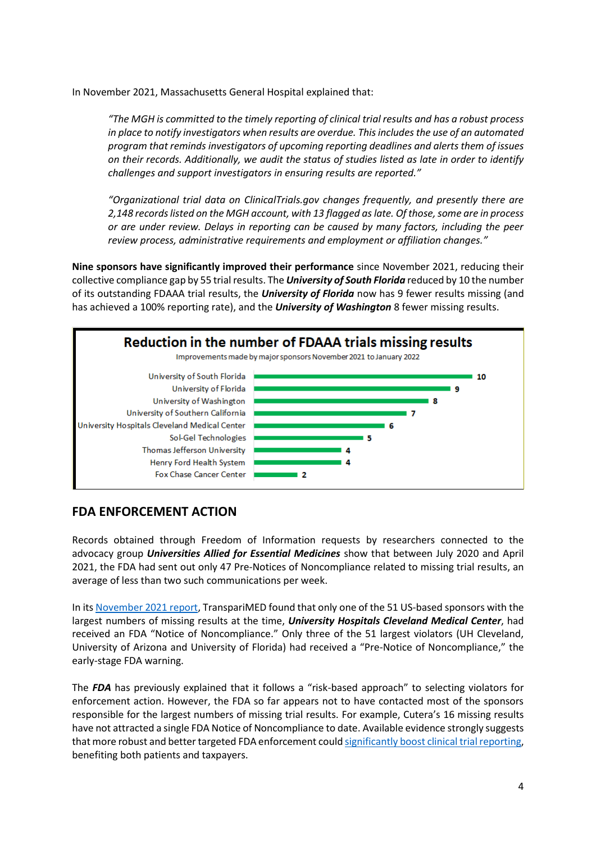In November 2021, Massachusetts General Hospital explained that:

*"The MGH is committed to the timely reporting of clinical trial results and has a robust process in place to notify investigators when results are overdue. This includes the use of an automated program that reminds investigators of upcoming reporting deadlines and alerts them of issues on their records. Additionally, we audit the status of studies listed as late in order to identify challenges and support investigators in ensuring results are reported."*

*"Organizational trial data on ClinicalTrials.gov changes frequently, and presently there are 2,148 records listed on the MGH account, with 13 flagged as late. Of those, some are in process or are under review. Delays in reporting can be caused by many factors, including the peer review process, administrative requirements and employment or affiliation changes."*

**Nine sponsors have significantly improved their performance** since November 2021, reducing their collective compliance gap by 55 trial results. The *University of South Florida* reduced by 10 the number of its outstanding FDAAA trial results, the *University of Florida* now has 9 fewer results missing (and has achieved a 100% reporting rate), and the *University of Washington* 8 fewer missing results.



## **FDA ENFORCEMENT ACTION**

Records obtained through Freedom of Information requests by researchers connected to the advocacy group *Universities Allied for Essential Medicines* show that between July 2020 and April 2021, the FDA had sent out only 47 Pre-Notices of Noncompliance related to missing trial results, an average of less than two such communications per week.

In it[s November 2021 report,](https://www.transparimed.org/single-post/fdaaa-enforcement-1) TranspariMED found that only one of the 51 US-based sponsors with the largest numbers of missing results at the time, *University Hospitals Cleveland Medical Center*, had received an FDA "Notice of Noncompliance." Only three of the 51 largest violators (UH Cleveland, University of Arizona and University of Florida) had received a "Pre-Notice of Noncompliance," the early-stage FDA warning.

The *FDA* has previously explained that it follows a "risk-based approach" to selecting violators for enforcement action. However, the FDA so far appears not to have contacted most of the sponsors responsible for the largest numbers of missing trial results. For example, Cutera's 16 missing results have not attracted a single FDA Notice of Noncompliance to date. Available evidence strongly suggests that more robust and better targeted FDA enforcement could significantly boost [clinical trial reporting,](https://jamanetwork.com/journals/jama/fullarticle/2786399) benefiting both patients and taxpayers.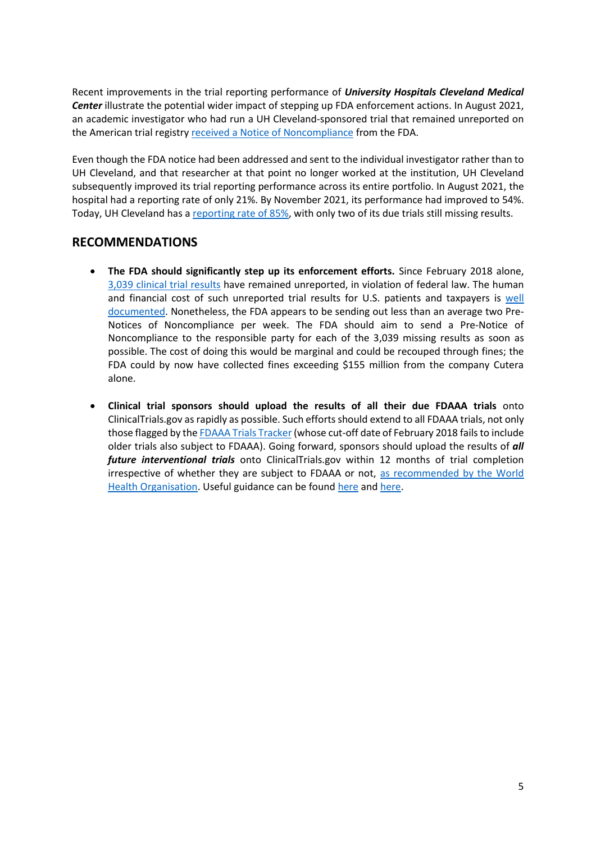Recent improvements in the trial reporting performance of *University Hospitals Cleveland Medical Center* illustrate the potential wider impact of stepping up FDA enforcement actions. In August 2021, an academic investigator who had run a UH Cleveland-sponsored trial that remained unreported on the American trial registry [received a Notice of Noncompliance](https://www.fda.gov/media/151965/download) from the FDA.

Even though the FDA notice had been addressed and sent to the individual investigator rather than to UH Cleveland, and that researcher at that point no longer worked at the institution, UH Cleveland subsequently improved its trial reporting performance across its entire portfolio. In August 2021, the hospital had a reporting rate of only 21%. By November 2021, its performance had improved to 54%. Today, UH Cleveland has [a reporting rate of 85%,](https://fdaaa.trialstracker.net/sponsor/university-hospitals-cleveland-medical-center/) with only two of its due trials still missing results.

#### **RECOMMENDATIONS**

- **The FDA should significantly step up its enforcement efforts.** Since February 2018 alone, 3,039 [clinical trial results](https://fdaaa.trialstracker.net/) have remained unreported, in violation of federal law. The human and financial cost of such unreported trial results for U.S. patients and taxpayers is [well](https://docs.wixstatic.com/ugd/01f35d_def0082121a648529220e1d56df4b50a.pdf)  [documented.](https://docs.wixstatic.com/ugd/01f35d_def0082121a648529220e1d56df4b50a.pdf) Nonetheless, the FDA appears to be sending out less than an average two Pre-Notices of Noncompliance per week. The FDA should aim to send a Pre-Notice of Noncompliance to the responsible party for each of the 3,039 missing results as soon as possible. The cost of doing this would be marginal and could be recouped through fines; the FDA could by now have collected fines exceeding \$155 million from the company Cutera alone.
- **Clinical trial sponsors should upload the results of all their due FDAAA trials** onto ClinicalTrials.gov as rapidly as possible. Such efforts should extend to all FDAAA trials, not only those flagged by th[e FDAAA Trials Tracker\(](https://fdaaa.trialstracker.net/)whose cut-off date of February 2018 fails to include older trials also subject to FDAAA). Going forward, sponsors should upload the results of *all future interventional trials* onto ClinicalTrials.gov within 12 months of trial completion irrespective of whether they are subject to FDAAA or not, [as recommended by the World](https://www.who.int/news/item/18-05-2017-joint-statement-on-registration)  [Health Organisation.](https://www.who.int/news/item/18-05-2017-joint-statement-on-registration) Useful guidance can be foun[d here](https://www.transparimed.org/resources) an[d here.](https://ctrrtaskforce.org/)